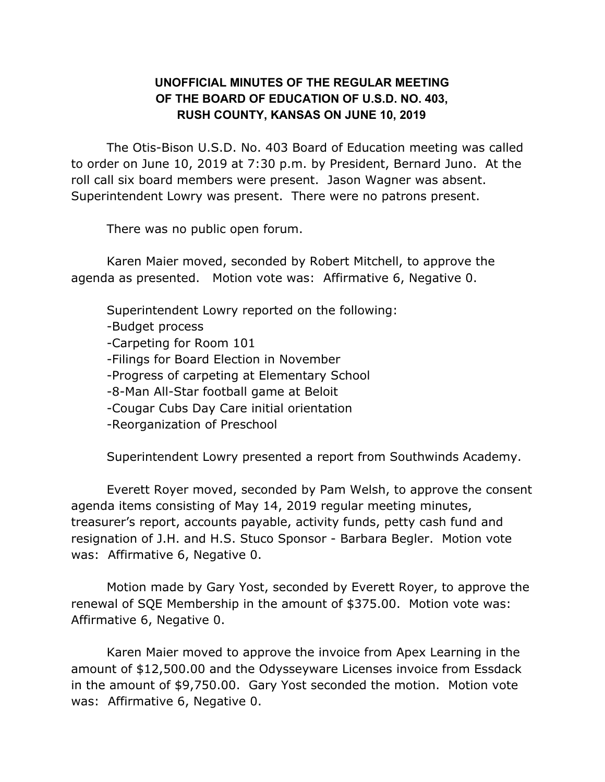## **UNOFFICIAL MINUTES OF THE REGULAR MEETING OF THE BOARD OF EDUCATION OF U.S.D. NO. 403, RUSH COUNTY, KANSAS ON JUNE 10, 2019**

The Otis-Bison U.S.D. No. 403 Board of Education meeting was called to order on June 10, 2019 at 7:30 p.m. by President, Bernard Juno. At the roll call six board members were present. Jason Wagner was absent. Superintendent Lowry was present. There were no patrons present.

There was no public open forum.

Karen Maier moved, seconded by Robert Mitchell, to approve the agenda as presented. Motion vote was: Affirmative 6, Negative 0.

Superintendent Lowry reported on the following:

-Budget process

-Carpeting for Room 101

-Filings for Board Election in November

-Progress of carpeting at Elementary School

-8-Man All-Star football game at Beloit

-Cougar Cubs Day Care initial orientation

-Reorganization of Preschool

Superintendent Lowry presented a report from Southwinds Academy.

Everett Royer moved, seconded by Pam Welsh, to approve the consent agenda items consisting of May 14, 2019 regular meeting minutes, treasurer's report, accounts payable, activity funds, petty cash fund and resignation of J.H. and H.S. Stuco Sponsor - Barbara Begler. Motion vote was: Affirmative 6, Negative 0.

Motion made by Gary Yost, seconded by Everett Royer, to approve the renewal of SQE Membership in the amount of \$375.00. Motion vote was: Affirmative 6, Negative 0.

Karen Maier moved to approve the invoice from Apex Learning in the amount of \$12,500.00 and the Odysseyware Licenses invoice from Essdack in the amount of \$9,750.00. Gary Yost seconded the motion. Motion vote was: Affirmative 6, Negative 0.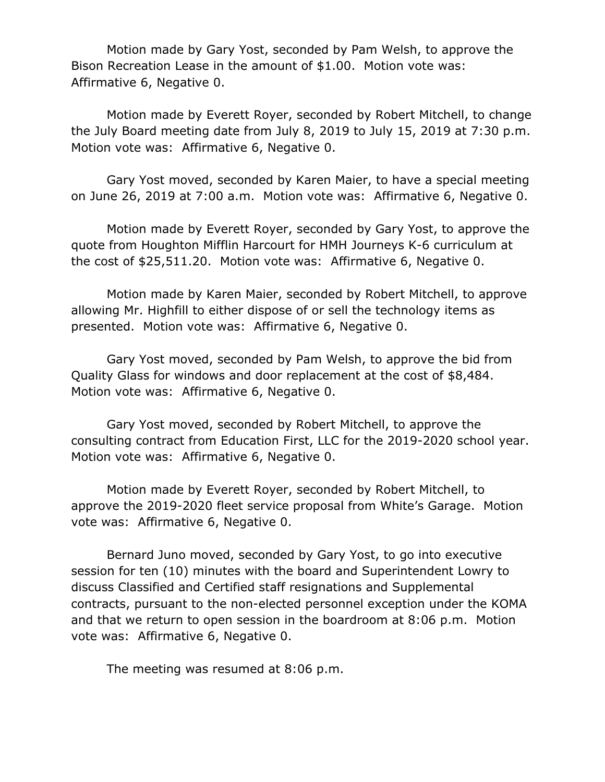Motion made by Gary Yost, seconded by Pam Welsh, to approve the Bison Recreation Lease in the amount of \$1.00. Motion vote was: Affirmative 6, Negative 0.

Motion made by Everett Royer, seconded by Robert Mitchell, to change the July Board meeting date from July 8, 2019 to July 15, 2019 at 7:30 p.m. Motion vote was: Affirmative 6, Negative 0.

Gary Yost moved, seconded by Karen Maier, to have a special meeting on June 26, 2019 at 7:00 a.m. Motion vote was: Affirmative 6, Negative 0.

Motion made by Everett Royer, seconded by Gary Yost, to approve the quote from Houghton Mifflin Harcourt for HMH Journeys K-6 curriculum at the cost of \$25,511.20. Motion vote was: Affirmative 6, Negative 0.

Motion made by Karen Maier, seconded by Robert Mitchell, to approve allowing Mr. Highfill to either dispose of or sell the technology items as presented. Motion vote was: Affirmative 6, Negative 0.

Gary Yost moved, seconded by Pam Welsh, to approve the bid from Quality Glass for windows and door replacement at the cost of \$8,484. Motion vote was: Affirmative 6, Negative 0.

Gary Yost moved, seconded by Robert Mitchell, to approve the consulting contract from Education First, LLC for the 2019-2020 school year. Motion vote was: Affirmative 6, Negative 0.

Motion made by Everett Royer, seconded by Robert Mitchell, to approve the 2019-2020 fleet service proposal from White's Garage. Motion vote was: Affirmative 6, Negative 0.

Bernard Juno moved, seconded by Gary Yost, to go into executive session for ten (10) minutes with the board and Superintendent Lowry to discuss Classified and Certified staff resignations and Supplemental contracts, pursuant to the non-elected personnel exception under the KOMA and that we return to open session in the boardroom at 8:06 p.m. Motion vote was: Affirmative 6, Negative 0.

The meeting was resumed at 8:06 p.m.